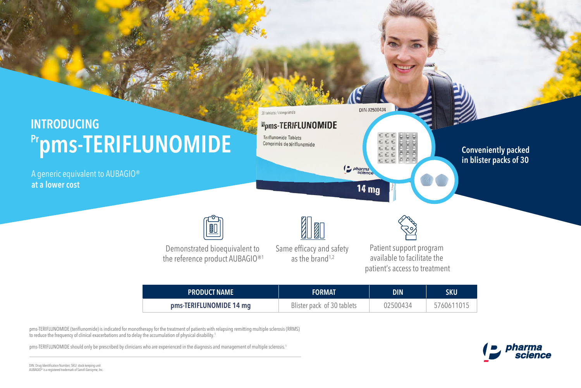### 30 tablets / comprimés **INTRODUCING**  *Epms-TERIFLUNOMIDE* **Teriflunomide Tablets Pr pms-TERIFLUNOMIDE** Comprimés de tériflunomide

A generic equivalent to AUBAGIO® **at a lower cost**



Demonstrated bioequivalent to the reference product AUBAGIO®<sup>1</sup>

**11** Same efficacy and safety as the brand<sup> $1,2$ </sup>



DIN 02500434

*Deparma* 

**14 mg** 

Patient support program available to facilitate the patient's access to treatment

| <b>PRODUCT NAME</b>     | <b>FORMAT</b>              | DIN      | SKU        |
|-------------------------|----------------------------|----------|------------|
| pms-TERIFLUNOMIDE 14 mg | Blister pack of 30 tablets | 02500434 | 5760611015 |

pms-TERIFLUNOMIDE (teriflunomide) is indicated for monotherapy for the treatment of patients with relapsing remitting multiple sclerosis (RRMS) to reduce the frequency of clinical exacerbations and to delay the accumulation of physical disability.<sup>1</sup>

pms-TERIFLUNOMIDE should only be prescribed by clinicians who are experienced in the diagnosis and management of multiple sclerosis.<sup>1</sup>



**Conveniently packed in blister packs of 30**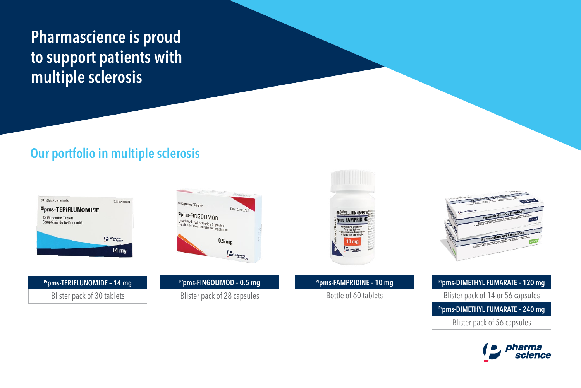# **Pharmascience is proud to support patients with multiple sclerosis**

## **Our portfolio in multiple sclerosis**





**Prpms-TERIFLUNOMIDE – 14 mg** Blister pack of 30 tablets

**Prpms-FINGOLIMOD – 0.5 mg** Blister pack of 28 capsules





**Prpms-FAMPRIDINE – 10 mg** Bottle of 60 tablets

**Prpms-DIMETHYL FUMARATE – 120 mg Prpms-DIMETHYL FUMARATE – 240 mg** Blister pack of 14 or 56 capsules Blister pack of 56 capsules